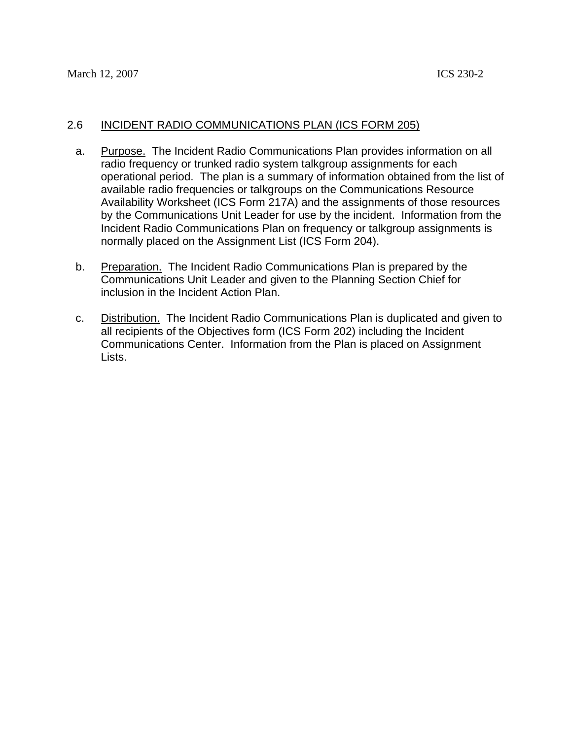## 2.6 INCIDENT RADIO COMMUNICATIONS PLAN (ICS FORM 205)

- a. Purpose. The Incident Radio Communications Plan provides information on all radio frequency or trunked radio system talkgroup assignments for each operational period. The plan is a summary of information obtained from the list of available radio frequencies or talkgroups on the Communications Resource Availability Worksheet (ICS Form 217A) and the assignments of those resources by the Communications Unit Leader for use by the incident. Information from the Incident Radio Communications Plan on frequency or talkgroup assignments is normally placed on the Assignment List (ICS Form 204).
- b. Preparation. The Incident Radio Communications Plan is prepared by the Communications Unit Leader and given to the Planning Section Chief for inclusion in the Incident Action Plan.
- c. Distribution. The Incident Radio Communications Plan is duplicated and given to all recipients of the Objectives form (ICS Form 202) including the Incident Communications Center. Information from the Plan is placed on Assignment Lists.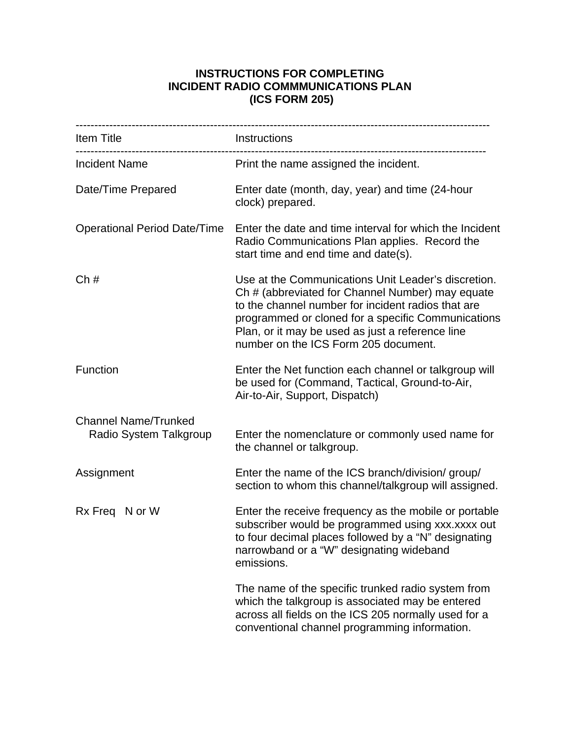## **INSTRUCTIONS FOR COMPLETING INCIDENT RADIO COMMMUNICATIONS PLAN (ICS FORM 205)**

| --------------------------------                      |                                                                                                                                                                                                                                                                                                                 |
|-------------------------------------------------------|-----------------------------------------------------------------------------------------------------------------------------------------------------------------------------------------------------------------------------------------------------------------------------------------------------------------|
| Item Title                                            | Instructions<br>-------------------                                                                                                                                                                                                                                                                             |
| <b>Incident Name</b>                                  | Print the name assigned the incident.                                                                                                                                                                                                                                                                           |
| Date/Time Prepared                                    | Enter date (month, day, year) and time (24-hour<br>clock) prepared.                                                                                                                                                                                                                                             |
| <b>Operational Period Date/Time</b>                   | Enter the date and time interval for which the Incident<br>Radio Communications Plan applies. Record the<br>start time and end time and date(s).                                                                                                                                                                |
| Ch#                                                   | Use at the Communications Unit Leader's discretion.<br>Ch # (abbreviated for Channel Number) may equate<br>to the channel number for incident radios that are<br>programmed or cloned for a specific Communications<br>Plan, or it may be used as just a reference line<br>number on the ICS Form 205 document. |
| Function                                              | Enter the Net function each channel or talkgroup will<br>be used for (Command, Tactical, Ground-to-Air,<br>Air-to-Air, Support, Dispatch)                                                                                                                                                                       |
| <b>Channel Name/Trunked</b><br>Radio System Talkgroup | Enter the nomenclature or commonly used name for<br>the channel or talkgroup.                                                                                                                                                                                                                                   |
| Assignment                                            | Enter the name of the ICS branch/division/group/<br>section to whom this channel/talkgroup will assigned.                                                                                                                                                                                                       |
| Rx Freq N or W                                        | Enter the receive frequency as the mobile or portable<br>subscriber would be programmed using xxx.xxxx out<br>to four decimal places followed by a "N" designating<br>narrowband or a "W" designating wideband<br>emissions.                                                                                    |
|                                                       | The name of the specific trunked radio system from<br>which the talkgroup is associated may be entered<br>across all fields on the ICS 205 normally used for a<br>conventional channel programming information.                                                                                                 |